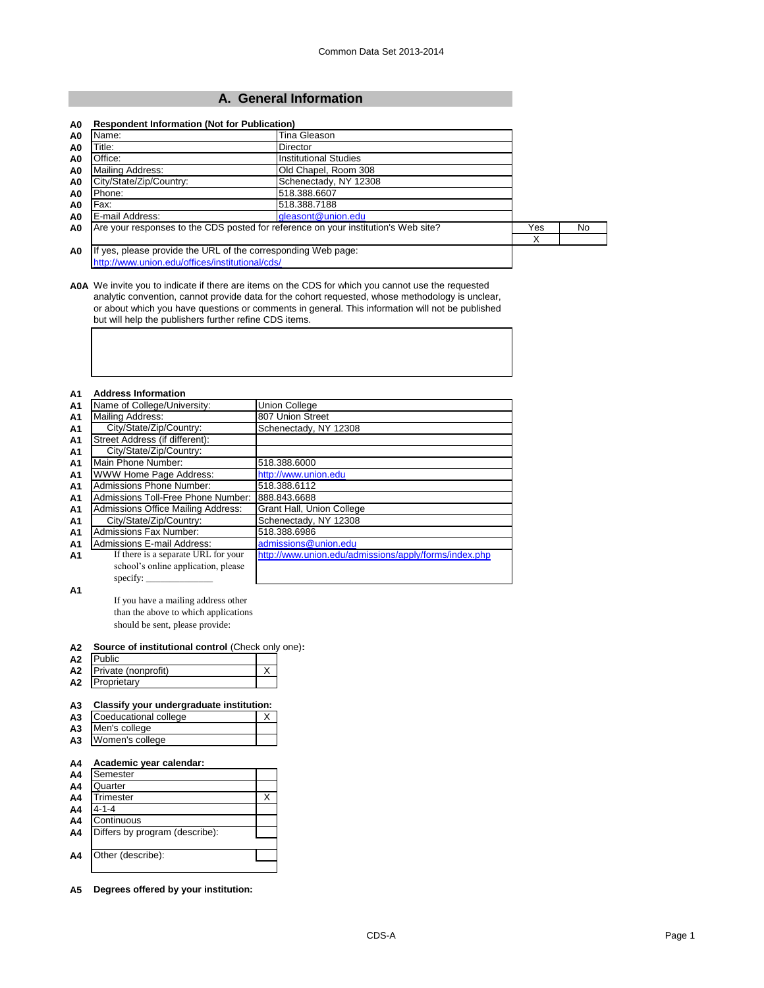# **A. General Information**

| Title:<br><b>Director</b><br>A0<br>Office:<br><b>Institutional Studies</b><br>A0<br>Mailing Address:<br>Old Chapel, Room 308<br>A <sub>0</sub><br>City/State/Zip/Country:<br>Schenectady, NY 12308<br>A0<br>Phone:<br>518.388.6607<br>A0<br>Fax:<br>518.388.7188<br>A0<br>E-mail Address:<br>gleasont@union.edu<br>A <sub>0</sub><br>Are your responses to the CDS posted for reference on your institution's Web site?<br>Yes<br>A <sub>0</sub><br>x | Name:<br>A0                                     | Tina Gleason |  |     |
|-------------------------------------------------------------------------------------------------------------------------------------------------------------------------------------------------------------------------------------------------------------------------------------------------------------------------------------------------------------------------------------------------------------------------------------------------------|-------------------------------------------------|--------------|--|-----|
|                                                                                                                                                                                                                                                                                                                                                                                                                                                       |                                                 |              |  |     |
|                                                                                                                                                                                                                                                                                                                                                                                                                                                       |                                                 |              |  |     |
|                                                                                                                                                                                                                                                                                                                                                                                                                                                       |                                                 |              |  |     |
|                                                                                                                                                                                                                                                                                                                                                                                                                                                       |                                                 |              |  |     |
|                                                                                                                                                                                                                                                                                                                                                                                                                                                       |                                                 |              |  |     |
|                                                                                                                                                                                                                                                                                                                                                                                                                                                       |                                                 |              |  |     |
|                                                                                                                                                                                                                                                                                                                                                                                                                                                       |                                                 |              |  |     |
|                                                                                                                                                                                                                                                                                                                                                                                                                                                       |                                                 |              |  | No. |
|                                                                                                                                                                                                                                                                                                                                                                                                                                                       |                                                 |              |  |     |
|                                                                                                                                                                                                                                                                                                                                                                                                                                                       | http://www.union.edu/offices/institutional/cds/ |              |  |     |

**A0A** We invite you to indicate if there are items on the CDS for which you cannot use the requested analytic convention, cannot provide data for the cohort requested, whose methodology is unclear, or about which you have questions or comments in general. This information will not be published but will help the publishers further refine CDS items.

### **A1 Address Information**

| <b>A1</b>      | Name of College/University:         | Union College                                         |
|----------------|-------------------------------------|-------------------------------------------------------|
| <b>A1</b>      | <b>Mailing Address:</b>             | 807 Union Street                                      |
| <b>A1</b>      | City/State/Zip/Country:             | Schenectady, NY 12308                                 |
| <b>A1</b>      | Street Address (if different):      |                                                       |
| <b>A1</b>      | City/State/Zip/Country:             |                                                       |
| A <sub>1</sub> | Main Phone Number:                  | 518.388.6000                                          |
| A <sub>1</sub> | WWW Home Page Address:              | http://www.union.edu                                  |
| A <sub>1</sub> | Admissions Phone Number:            | 518.388.6112                                          |
| <b>A1</b>      | Admissions Toll-Free Phone Number:  | 888.843.6688                                          |
| A <sub>1</sub> | Admissions Office Mailing Address:  | Grant Hall, Union College                             |
| <b>A1</b>      | City/State/Zip/Country:             | Schenectady, NY 12308                                 |
| A <sub>1</sub> | <b>Admissions Fax Number:</b>       | 518.388.6986                                          |
| A <sub>1</sub> | <b>Admissions E-mail Address:</b>   | admissions@union.edu                                  |
| A1             | If there is a separate URL for your | http://www.union.edu/admissions/apply/forms/index.php |
|                | school's online application, please |                                                       |
|                |                                     |                                                       |

**A1**

If you have a mailing address other than the above to which applications should be sent, please provide:

#### **A2 Source of institutional control** (Check only one)**:**

| A <sub>2</sub> | <b>Public</b>       |  |
|----------------|---------------------|--|
| A2             | Private (nonprofit) |  |
| A2             | Proprietary         |  |
|                |                     |  |

## **A3 Classify your undergraduate institution:**

| A3 Coeducational college |  |
|--------------------------|--|
| A3 Men's college         |  |
| A3 Women's college       |  |

### **A4 Academic year calendar:**

| A4             | Semester                       |  |
|----------------|--------------------------------|--|
| A4             | Quarter                        |  |
| A4             | Trimester                      |  |
| A4             | $4 - 1 - 4$                    |  |
| A4             | Continuous                     |  |
| A <sub>4</sub> | Differs by program (describe): |  |
|                |                                |  |
| A4             | Other (describe):              |  |
|                |                                |  |

**A5 Degrees offered by your institution:**